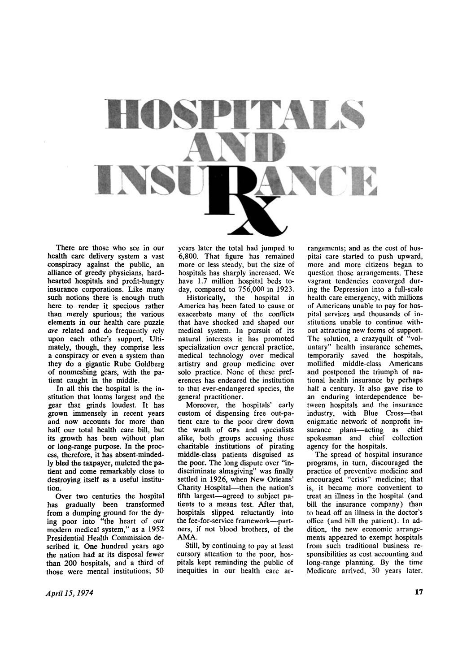

**There are those who see in our health care delivery system a vast conspiracy against the public, an alliance of greedy physicians, hardhearted hospitals and profit-hungry insurance corporations. Like many such notions there is enough truth here to render it specious rather than merely spurious; the various elements in our health care puzzle**  *are* **related and do frequently rely upon each other's support. Ultimately, though, they comprise less a conspiracy or even a system than they do a gigantic Rube Goldberg of nonmeshing gears, with the patient caught in the middle.** 

**In all this the hospital is the institution that looms largest and the gear that grinds loudest. It has grown immensely in recent years and now accounts for more than half our total health care bill, but its growth has been without plan or long-range purpose. In the process, therefore, it has absent-mindedly bled the taxpayer, mulcted the patient and come remarkably close to destroying itself as a useful institution.** 

**Over two centuries the hospital has gradually been transformed from a dumping ground for the dying poor into "the heart of our modern medical system," as a 1952 Presidential Health Commission described it. One hundred years ago the nation had at its disposal fewer than 200 hospitals, and a third of those were mental institutions; 50** 

**years later the total had jumped to 6,800. That figure has remained more or less steady, but the size of hospitals has sharply increased. We have 1.7 million hospital beds today, compared to 756,000 in 1923.** 

**Historically, the hospital in America has been fated to cause or exacerbate many of the conflicts that have shocked and shaped our medical system. In pursuit of its natural interests it has promoted specialization over general practice, medical technology over medical artistry and group medicine over solo practice. None of these preferences has endeared the institution to that ever-endangered species, the general practitioner.** 

**Moreover, the hospitals' early custom of dispensing free out-patient care to the poor drew down the wrath of** CPs **and specialists alike, both groups accusing those charitable institutions of pirating middle-class patients disguised as the poor. The long dispute over "indiscriminate almsgiving" was finally settled in 1926, when New Orleans' Charity Hospital—then the nation's fifth largest—agreed to subject patients to a means test. After that, hospitals slipped reluctantly into the fee-for-service framework—partners, if not blood brothers, of the AMA .** 

**Still, by continuing to pay at least cursory attention to the poor, hospitals kept reminding the public of inequities in our health care ar-**

**rangements; and as the cost of hospital care started to push upward, more and more citizens began to question those arrangements. These vagrant tendencies converged during the Depression into a full-scale health care emergency, with millions of Americans unable to pay for hospital services and thousands of institutions unable to continue without attracting new forms of support. The solution, a crazyquilt of "voluntary" health insurance schemes, temporarily saved the hospitals, mollified middle-class Americans and postponed the triumph of national health insurance by perhaps half a century. It also gave rise to an enduring interdependence between hospitals and the insurance industry, with Blue Cross—that enigmatic network of nonprofit insurance plans—acting as chief spokesman and chief collection**  spokesman and chief collection agency for the hospitals.

**The spread of hospital insurance programs, in turn, discouraged the practice of preventive medicine and encouraged "crisis" medicine; that is, it became more convenient to treat an illness in the hospital (and bill the insurance company) than to head off an illness in the doctor's office (and bill the patient). In addition, the new economic arrangements appeared to exempt hospitals from such traditional business responsibilities as cost accounting and long-range planning. By the time Medicare arrived, 30 years later.**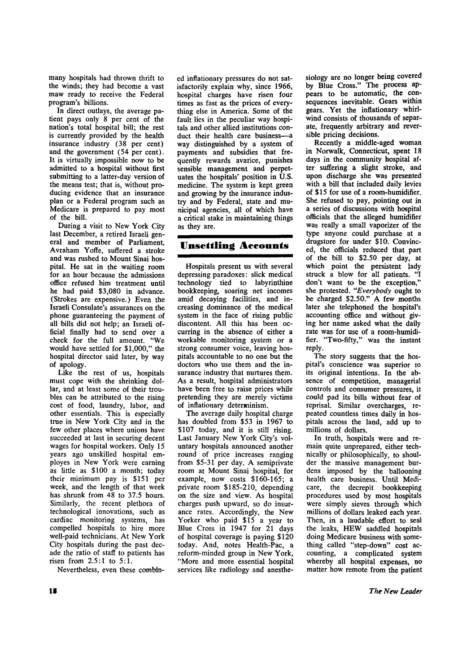**many hospitals had thrown thrift to the winds; they had become a vast maw ready to receive the Federal program's billions.** 

**In direct outlays, the average patient pays only 8 per cent of the nation's total hospital bill; the rest is currently provided by the health insurance industry (38 per cent) and the government (54 per cent). It is virtually impossible now to be admitted to a hospital without first submitting to a latter-day version of the means test; that is, without producing evidence that an insurance plan or a Federal program such as Medicare is prepared to pay most of the bill.** 

**During a visit to New York City last December, a retired Israeli general and member of Parliament, Avraham Yoffe, suffered a stroke and was rushed to Mount Sinai hospital. He sat in the waiting room for an hour because the admissions office refused him treatment until he had paid \$3,080 in advance. (Strokes are expensive.) Even the Israeli Consulate's assurances on the phone guaranteeing the payment of all bills did not help; an Israeli official finally had to send over a check for the full amount. "We would have settled for \$1,000," the hospital director said later, by way of apology.** 

**Like the rest of us, hospitals must cope with the shrinking dollar, and at least some of their troubles can be attributed to the rising cost of food, laundry, labor, and other essentials. This is especially true in New York City and in the few other places where unions have succeeded at last in securing decent wages for hospital workers. Only 15 years ago unskilled hospital employes in New York were earning as little as \$100 a month; today their minimum pay is \$151 per week, and the length of that week has shrunk from 48 to 37.5 hours. Similarly, the recent plethora of technological innovations, such as cardiac monitoring systems, has compelled hospitals to hire more well-paid technicians. At New York City hospitals during the past decade the ratio of staff to patients has risen from 2.5:1 to 5:1.** 

**Nevertheless, even these combin-**

**ed inflationary pressures do not satisfactorily explain why, since 1966, hospital charges have risen four times as fast as the prices of everything else in America. Some of the fault lies in the peculiar way hospitals and other allied institutions conduct their health care business—a way distinguished by a system of payments and subsidies that frequently rewards avarice, punishes sensible management and perpetuates the hospitals' position in U.S. medicine. The system is kept green and growing by the insurance industry and by Federal, state and municipal agencies, all of which have a critical stake in maintaining things as they are.** 

## **Unsettling Accounts**

**Hospitals present us with several depressing paradoxes: slick medical technology tied to labyrinthine bookkeeping, soaring net incomes amid decaying facilities, and increasing dominance of the medical system in the face of rising public discontent. All this has been occurring in the absence of either a workable monitoring system or a strong consumer voice, leaving hospitals accountable to no one but the doctors who use them and the insurance industry that nurtures them. As a result, hospital administrators have been free to raise prices while pretending they are merely victims of inflationary determinism.** 

**The average daily hospital charge has doubled from \$53 in 1967 to \$107 today, and it is still rising. Last January New York City's voluntary hospitals announced another round of price increases ranging from \$5-31 per day. A semiprivate room at Mount Sinai hospital, for example, now costs \$160-165; a private room \$185-210, depending on the size and view. As hospital charges push upward, so do insurance rates. Accordingly, the New Yorker who paid \$15 a year to Blue Cross in 1947 for 21 days of hospital coverage is paying \$120 today. And, notes Health-Pac, a reform-minded group in New York, "More and more essential hospital services like radiology and anesthe-**

**siology are no longer being covered by Blue Cross." The process appears to be automatic, the consequences inevitable. Gears within gears. Yet the inflationary whirlwind consists of thousands of separate, frequently arbitrary and reversible pricing decisions.** 

**Recently a middle-aged woman in Norwalk, Connecticut, spent 18 days in the community hospital after suffering a slight stroke, and upon discharge she was presented with a bill that included daily levies of \$15 for use of a room-humidifier. She refused to pay, pointing out in a series of discussions with hospital officials that the alleged humidifier was really a small vaporizer of the type anyone could purchase at a drugstore for under \$10. Convinced, the officials reduced that part of the bill to \$2.50 per day, at which point the persistent lady struck a blow for all patients. "I don't want to be the exception," she protested.** *"Everybody* **ought to be charged \$2.50." A few months later she telephoned the hospital's accounting office and without giving her name asked what the daily rate was for use of a room-humidifier. "Two-fifty," was the instant reply.** 

**The story suggests that the hospital's conscience was superior to its original intentions. In the absence of competition, managerial controls and consumer pressures, it could pad its bills without fear of reprisal. Similar overcharges, repeated countless times daily in hospitals across the land, add up to millions of dollars.** 

**In truth, hospitals were and remain quite unprepared, either technically or philosophically, to shoulder the massive management burdens imposed by the ballooning health care business. Until Medicare, the decrepit bookkeeping procedures used by most hospitals were simply sieves through which millions of dollars leaked each year. Then, in a laudable effort to seal the leaks, HEW saddled hospitals doing Medicare business with something called "step-down" cost accounting, a complicated system whereby all hospital expenses, no matter how remote from the patient**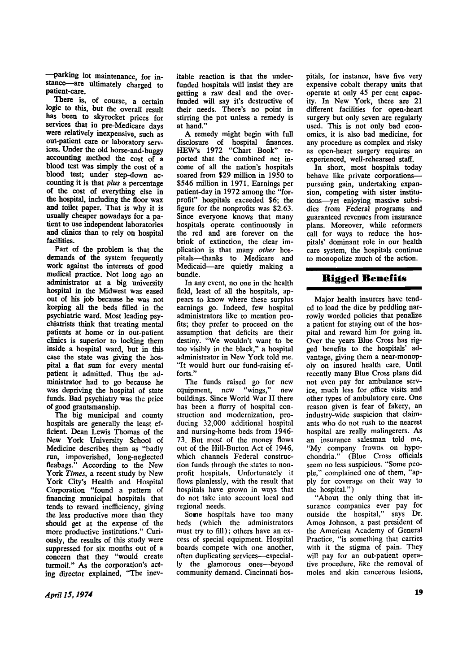**—parking lot maintenance, for instance—are ultimately charged to patient-care.** 

**There is, of course, a certain logic to this, but the overall result has been to skyrocket prices for services that in pre-Medicare days were relatively inexpensive, such as out-patient care or laboratory services. Under the old horse-and-buggy accounting method the cost of a blood test was simply the cost of a blood test; under step-down accounting it is that** *plus* **a percentage of the cost of everything else in the hospital, including the floor wax and toilet paper. That is why it is usually cheaper nowadays for a patient to use independent laboratories and clinics than to rely on hospital facilities.** 

**Part of the problem is that the demands of the system frequently work against the interests of good medical practice. Not long ago an administrator at a big university hospital in the Midwest was eased out of his job because he was not keeping all the beds filled in the psychiatric ward. Most leading psychiatrists think that treating mental patients at home or in out-patient clinics is superior to locking them inside a hospital ward, but in this case the state was giving the hospital a flat sum for every mental patient it admitted. Thus the administrator had to go because he was depriving the hospital of state funds. Bad psychiatry was the price of good grantsmanship.** 

**The big municipal and county hospitals are generally the least efficient. Dean Lewis Thomas of the New York University School of Medicine describes them as "badly run, impoverished, long-neglected fleabags." According to the New York** *Times,* **a recent study by New York City's Health and Hospital Corporation "found a pattern of financing municipal hospitals that tends to reward inefficiency, giving the less productive more than they should get at the expense of the more productive institutions." Curiously, the results of this study were suppressed for six months out of a concern that they "would create turmoil." As the corporation's acting director explained, "The inev-** **itable reaction is that the underfunded hospitals will insist they are getting a raw deal and the overfunded will say it's destructive of their needs. There's no point in stirring the pot unless a remedy is at hand."** 

**A remedy might begin with full disclosure of hospital finances. HEW's 1972 "Chart Book" reported that the combined net income of all the nation's hospitals soared from \$29 million in 1950 to \$546 million in 1971. Earnings per patient-day in 1972 among the "forprofit" hospitals exceeded \$6; the figure for the nonprofits was \$2.63. Since everyone knows that many hospitals operate continuously in the red and are forever on the brink of extinction, the clear implication is that many** *other* **hospitals—thanks to Medicare and Medicaid—are quietly making a bundle.** 

**In any event, no one in the health field, least of all the hospitals, appears to know where these surplus earnings go. Indeed, few hospital administrators like to mention profits; they prefer to proceed on the assumption that deficits are their destiny. "We wouldn't want to be too visibly in the black," a hospital administrator in New York told me. "It would hurt our fund-raising efforts."** 

**The funds raised go for new equipment, new "wings," new buildings. Since World War II there has been a flurry of hospital construction and modernization, producing 32,000 additional hospital and nursing-home beds from 1946- 73. But most of the money flows out of the Hill-Burton Act of 1946, which channels Federal construction funds through the states to nonprofit hospitals. Unfortunately it flows planlessly, with the result that hospitals have grown in ways that do not take into account local and regional needs.** 

**Some hospitals have too many beds (which the administrators must try to fill); others have an excess of special equipment. Hospital boards compete with one another, often duplicating services—especially the glamorous ones—beyond community demand. Cincinnati hos-** **pitals, for instance, have five very expensive cobalt therapy units that operate at only 45 per cent capacity. In New York, there are 21 different facilities for open-heart surgery but only seven are regularly used. This is not only bad economics, it is also bad medicine, for any procedure as complex and risky as open-heart surgery requires an experienced, well-rehearsed staff.** 

**In short, most hospitals today behave like private corporations pursuing gain, undertaking expansion, competing with sister institutions—yet enjoying massive subsidies from Federal programs and guaranteed revenues from insurance plans. Moreover, while reformers call for ways to reduce the hospitals' dominant role in our health care system, the hospitals continue to monopolize much of the action.** 

## **Rigged Benefits**

**Major health insurers have tended to load the dice by peddling narrowly worded policies that penalize a patient for staying out of the hospital and reward him for going in. Over the years Blue Cross has rigged benefits to the hospitals' advantage, giving them a near-monopoly on insured health care. Until recently many Blue Cross plans did not even pay for ambulance service, much less for office visits and other types of ambulatory care. One reason given is fear of fakery, an industry-wide suspicion that claimants who do not rush to the nearest hospital are really malingerers. As an insurance salesman told me, "My company frowns on hypochondria." (Blue Cross officials seem no less suspicious. "Some people," complained one of them, "apply for coverage on their way to**  ply for coverage on their way to the hospital.")

**"About the only thing that insurance companies ever pay for outside the hospital," says Dr. Amos Johnson, a past president of the American Academy of General Practice, "is something that carries with it the stigma of pain. They will pay for an out-patient operative procedure, like the removal of moles and skin cancerous lesions,**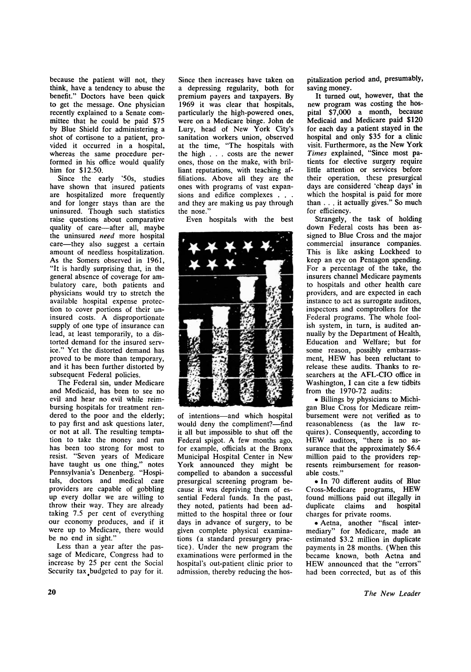**because the patient will not, they think, have a tendency to abuse the benefit." Doctors have been quick to get the message. One physician recently explained to a Senate committee that he could be paid \$75 by Blue Shield for administering a shot of cortisone to a patient, provided it occurred in a hospital, whereas the same procedure performed in his office would qualify him for \$12.50.** 

**Since the early '50s, studies have shown that insured patients are hospitalized more frequently and for longer stays than are the uninsured. Though such statistics raise questions about comparative quality of care—after all, maybe the uninsured** *need* **more hospital care—they also suggest a certain amount of needless hospitalization. As the Somers observed in 1961, "It is hardly surprising that, in the general absence of coverage for ambulatory care, both patients and physicians would try to stretch the available hospital expense protection to cover portions of their uninsured costs. A disproportionate supply of one type of insurance can lead, at least temporarily, to a distorted demand for the insured service." Yet the distorted demand has proved to be more than temporary, and it has been further distorted by subsequent Federal policies.** 

**The Federal sin, under Medicare and Medicaid, has been to see no evil and hear no evil while reimbursing hospitals for treatment rendered to the poor and the elderly; to pay first and ask questions later, or not at all. The resulting temptation to take the money and run has been too strong for most to resist. "Seven years of Medicare have taught us one thing," notes Pennsylvania's Denenberg. "Hospitals, doctors and medical care providers are capable of gobbling up every dollar we are willing to throw their way. They are already taking 7.5 per cent of everything our economy produces, and if it were up to Medicare, there would be no end in sight."** 

**Less than a year after the passage of Medicare, Congress had to increase by 25 per cent the Social**  Security tax budgeted to pay for it. **Since then increases have taken on a depressing regularity, both for premium payers and taxpayers. By 1969 it was clear that hospitals, particularly the high-powered ones, were on a Medicare binge. John de Lury, head of New York City's sanitation workers union, observed at the time, "The hospitals with the high . . . costs are the newer ones, those on the make, with brilliant reputations, with teaching affiliations. Above all they are the ones with programs of vast expansions and edifice complexes . . . and they are making us pay through the nose."** 

**Even hospitals with the best** 



**of intentions—and which hospital would deny the compliment?—find it all but impossible to shut off the Federal spigot. A few months ago, for example, officials at the Bronx Municipal Hospital Center in New York announced they might be compelled to abandon a successful presurgical screening program because it was depriving them of essential Federal funds. In the past, they noted, patients had been admitted to the hospital three or four days in advance of surgery, to be given complete physical examinations (a standard presurgery practice). Under the new program the examinations were performed in the hospital's out-patient clinic prior to admission, thereby reducing the hos-** **pitalization period and, presumably, saving money.** 

**It turned out, however, that the new program was costing the hospital \$7,000 a month, because Medicaid and Medicare paid \$120 for each day a patient stayed in the hospital and only \$35 for a clinic visit. Furthermore, as the New York**  *Times* **explained, "Since most patients for elective surgery require little attention or services before their operation, these presurgical days are considered 'cheap days' in which the hospital is paid for more than .. . it actually gives." So much for efficiency.** 

**Strangely, the task of holding down Federal costs has been assigned to Blue Cross and the major commercial insurance companies. This is like asking Lockheed to keep an eye on Pentagon spending. For a percentage of the take, the insurers channel Medicare payments to hospitals and other health care providers, and are expected in each instance to act as surrogate auditors, inspectors and comptrollers for the Federal programs. The whole foolish system, in turn, is audited annually by the Department of Health, Education and Welfare; but for some reason, possibly embarrassment, HEW has been reluctant to release these audits. Thanks to researchers at the AFL-CIO office in Washington, I can cite a few tidbits from the 1970-72 audits:** 

**• Billings by physicians to Michigan Blue Cross for Medicare reimbursement were not verified as to reasonableness (as the law requires). Consequently, according to HEW auditors, "there is no assurance that the approximately \$6.4 million paid to the providers represents reimbursement for reasonable costs."** 

**• In 70 different audits of Blue Cross-Medicare programs, HEW found millions paid out illegally in duplicate claims and hospital charges for private rooms.** 

**• Aetna, another "fiscal intermediary" for Medicare, made an estimated \$3.2 million in duplicate payments in 28 months. (When this became known, both Aetna and HEW announced that the "errors" had been corrected, but as of this**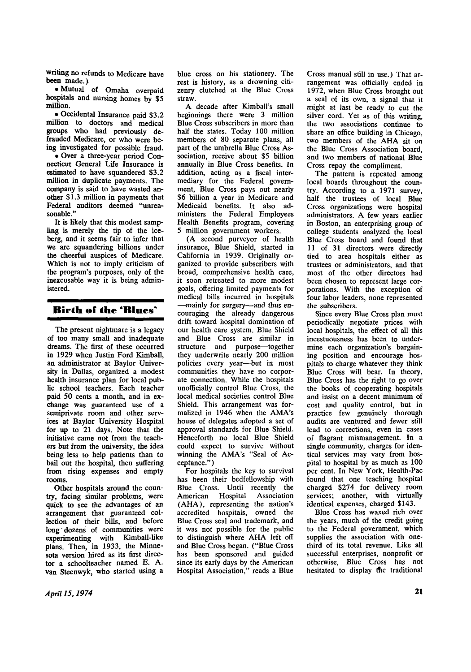**writing no refunds to Medicare have been made.)** 

**• Mutual of Omaha overpaid hospitals and nursing homes by \$5 million.** 

**• Occidental Insurance paid \$3.2 million to doctors and medical groups who had previously defrauded Medicare, or who were being investigated for possible fraud.** 

**• Over a three-year period Connecticut General Life Insurance is estimated to have squandered \$3.2 million in duplicate payments. The company is said to have wasted another \$1.3 million in payments that Federal auditors deemed "unreasonable."** 

**It is likely that this modest sampling is merely the tip of the iceberg, and it seems fair to infer that we are squandering billions under the cheerful auspices of Medicare. Which is not to imply criticism of the program's purposes, only of the inexcusable way it is being administered.** 

## **Birth of the "Blues'**

**The present nightmare is a legacy of too many small and inadequate dreams. The first of these occurred in 1929 when Justin Ford Kimball, an administrator at Baylor University in Dallas, organized a modest health insurance plan for local public school teachers. Each teacher paid 50 cents a month, and in exchange was guaranteed use of a semiprivate room and other services at Baylor University Hospital for up to 21 days. Note that the initiative came not from the teachers but from the university, the idea being less to help patients than to bail out the hospital, then suffering from rising expenses and empty rooms.** 

**Other hospitals around the country, facing similar problems, were quick to see the advantages of an arrangement that guaranteed collection of their bills, and before long dozens of communities were experimenting with Kimball-like plans. Then, in 1933, the Minnesota version hired as its first director a schoolteacher named E. A. van Steenwyk, who started using a** 

**blue cross on his stationery. The rest is history, as a drowning citizenry clutched at the Blue Cross straw.** 

**A decade after Kimball's small beginnings there were 3 million Blue Cross subscribers in more than half the states. Today 100 million members of 80 separate plans, all part of the umbrella Blue Cross Association, receive about \$5 billion annually in Blue Cross benefits. In addition, acting as a fiscal intermediary for the Federal government, Blue Cross pays out nearly \$6 billion a year in Medicare and Medicaid benefits. It also administers the Federal Employees Health Benefits program, covering 5 million government workers.** 

**(A second purveyor of health insurance, Blue Shield, started in California in 1939. Originally organized to provide subscribers with broad, comprehensive health care, it soon retreated to more modest goals, offering limited payments for medical bills incurred in hospitals —mainly for surgery—and thus encouraging the already dangerous drift toward hospital domination of our health care system. Blue Shield and Blue Cross are similar in structure and purpose—together they underwrite nearly 200 million policies every year—but in most communities they have no corporate connection. While the hospitals unofficially control Blue Cross, the local medical societies control Blue Shield. This arrangement was formalized in 1946 when the AMA's house of delegates adopted a set of approval standards for Blue Shield. Henceforth no local Blue Shield could be referred** to survive the surface that the surface in the surface of the surface of the surface of the surface of the surface of the surface of the surface of the surface of the surface of the surface of the surfa could expect to survive without winning the AMA's "Seal of Ac-<br>ceptance.")

**For hospitals the key to survival has been their bedfellowship with Blue Cross. Until recently the American Hospital Association (AHA), representing the nation's accredited hospitals, owned the Blue Cross seal and trademark, and it was not possible for the public**  to distinguish where AHA left off **and Blue Cross began. ("Blue Cross has been sponsored and guided since its early days by the American Hospital Association," reads a Blue** 

**Cross manual still in use.) That arrangement was officially ended in 1972, when Blue Cross brought out a seal of its own, a signal that it might at last be ready to cut the silver cord. Yet as of this writing, the two associations continue to share an office building in Chicago,**  two members of the AHA sit on **the Blue Cross Association board, and two members of national Blue Cross repay the compliment.** 

**The pattern is repeated among local boards throughout the country. According to a 1971 survey, half the trustees of local Blue Cross organizations were hospital administrators. A few years earlier in Boston, an enterprising group of college students analyzed the local Blue Cross board and found that 11 of 31 directors were directly tied to area hospitals either as trustees or administrators, and that most of the other directors had been chosen to represent large corporations. With the exception of four labor leaders, none represented the subscribers.** 

**Since every Blue Cross plan must periodically negotiate prices with local hospitals, the effect of all this incestuousness has been to undermine each organization's bargaining position and encourage hospitals to charge whatever they think Blue Cross will bear. In theory, Blue Cross has the right to go over the books of cooperating hospitals and insist on a decent minimum of cost and quality control, but in practice few genuinely thorough audits are ventured and fewer still lead to corrections, even in cases of flagrant mismanagement. In a single community, charges for identical services may vary from hospital to hospital by as much as 100 per cent. In New York, Health-Pac found that one teaching hospital charged \$274 for delivery room services; another, with virtually identical expenses, charged \$143.** 

**Blue Cross has waxed rich over the years, much of the credit going to the Federal government, which supplies the association with onethird of its total revenue. Like all successful enterprises, nonprofit or otherwise, Blue Cross has not hesitated to display tfie traditional**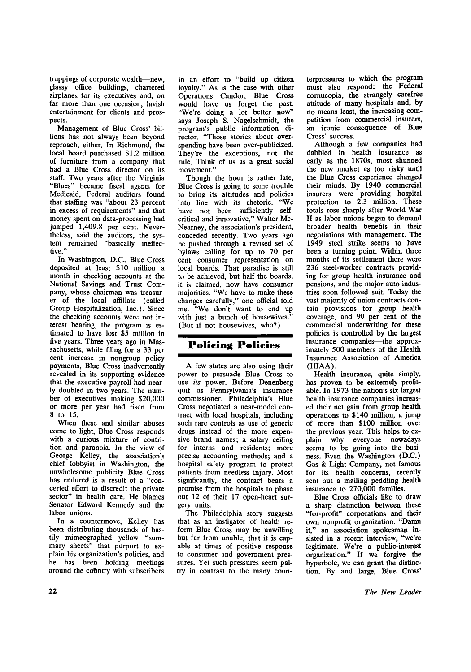**trappings of corporate wealth—new, glassy office buildings, chartered airplanes for its executives and, on far more than one occasion, lavish entertainment for clients and prospects.** 

**Management of Blue Cross' billions has not always been beyond reproach, either. In Richmond, the local board purchased \$1.2 million of furniture from a company that had a Blue Cross director on its staff. Two years after the Virginia "Blues" became fiscal agents for Medicaid, Federal auditors found that staffing was "about 23 percent in excess of requirements" and that money spent on data-processing had jumped 1,409.8 per cent. Nevertheless, said the auditors, the system remained "basically ineffective."** 

**In Washington, D.C., Blue Cross deposited at least \$10 million a month in checking accounts at the National Savings and Trust Company, whose chairman was treasurer of the local affiliate (called Group Hospitalization, Inc.). Since the checking accounts were not interest bearing, the program is estimated to have lost \$5 million in five years. Three years ago in Massachusetts, while filing for a 33 per cent increase in nongroup policy payments, Blue Cross inadvertently revealed in its supporting evidence that the executive payroll had nearly doubled in two years. The number of executives making \$20,000 or more per year had risen from 8 to 15.** 

**When these and similar abuses come to light, Blue Cross responds with a curious mixture of contrition and paranoia. In the view of George Kelley, the association's chief lobbyist in Washington, the unwholesome publicity Blue Cross has endured is a result of a "concerted effort to discredit the private sector" in health care. He blames Senator Edward Kennedy and the labor unions.** 

**In a countermove, Kelley has been distributing thousands of hastily mimeographed yellow "summary sheets" that purport to explain his organization's policies, and he has been holding meetings**  around the country with subscribers **in an effort to "build up citizen loyalty." As is the case with other Operations Candor, Blue Cross would have us forget the past. "We're doing a lot better now" says Joseph S. Nagelschmidt, the program's public information director. "Those stories about overspending have been over-publicized. They're the exceptions, not the rule. Think of us as a great social movement."** 

**Though the hour is rather late, Blue Cross is going to some trouble to bring its attitudes and policies into line with its rhetoric. "We have not been sufficiently selfcritical and innovative," Walter Mc-Nearney, the association's president, conceded recently. Two years ago he pushed through a revised set of bylaws calling for up to 70 per cent consumer representation on local boards. That paradise is still to be achieved, but half the boards, it is claimed, now have consumer majorities. "We have to make these changes carefully," one official told me. "We don't want to end up with just a bunch of housewives." (But if not housewives, who?)** 

## **Policing Policies**

**A few states are also using their power to persuade Blue Cross to use** *its* **power. Before Denenberg quit as Pennsylvania's insurance commissioner, Philadelphia's Blue Cross negotiated a near-model contract with local hospitals, including such rare controls as use of generic drugs instead of the more expensive brand names; a salary ceiling for interns and residents; more precise accounting methods; and a hospital safety program to protect patients from needless injury. Most significantly, the contract bears a promise from the hospitals to phase out 12 of their 17 open-heart surgery units.** 

**The Philadelphia story suggests that as an instigator of health reform Blue Cross may be unwilling but far from unable, that it is capable at times of positive response to consumer and government pressures. Yet such pressures seem paltry in contrast to the many coun-** **terpressures to which the program must also respond: the Federal cornucopia, the strangely carefree attitude of many hospitals and, by no means least, the increasing competition from commercial insurers, an ironic consequence of Blue Cross' success.** 

**Although a few companies had dabbled in health insurance as early as the 1870s, most shunned the new market as too risky until the Blue Cross experience changed their minds. By 1940 commercial insurers were providing hospital protection to 2.3 million. These totals rose sharply after World War II as labor unions began to demand broader health benefits in their negotiations with management. The 1949 steel strike seems to have been a turning point. Within three months of its settlement there were 236 steel-worker contracts providing for group health insurance and pensions, and the major auto industries soon followed suit. Today the vast majority of union contracts contain provisions for group health coverage, and 90 per cent of the commercial underwriting for these policies is controlled by the largest insurance companies—the approximately 500 members of the Health Insurance Association of America (HIAA).** 

**Health insurance, quite simply, has proven to be extremely profitable. In 1973 the nation's six largest health insurance companies increased their net gain from group health operations to \$140 million, a jump of more than \$100 million over the previous year. This helps to explain why everyone nowadays seems to be going into the business. Even the Washington (D.C.) Gas & Light Company, not famous for its health concerns, recently sent out a mailing peddling health insurance to 270,000 families.** 

**Blue Cross officials like to draw a sharp distinction between these "for-profit" corporations and their own nonprofit organization. "Damn it," an association spokesman insisted in a recent interview, "we're legitimate. We're a public-interest organization." If we forgive the hyperbole, we can grant the distinction. By and large, Blue Cross'**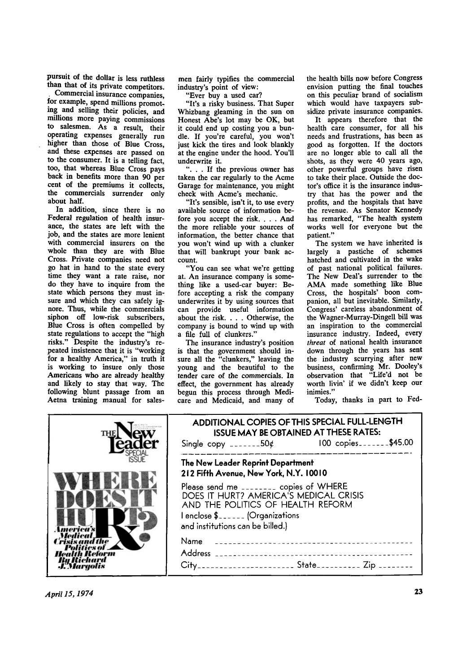**pursuit of the dollar is less ruthless than that of its private competitors.** 

**, Commercial insurance companies, for example, spend millions promoting and selling their policies, and millions more paying commissions to salesmen. As a result, their operating expenses generally run higher than those of Blue Cross, and these expenses are passed on to the consumer. It is a telling fact, too, that whereas Blue Cross pays back in benefits more than 90 per cent of the premiums it collects, the commercials surrender only about half.** 

**In addition, since there is no Federal regulation of health insurance, the states are left with the job, and the states are more lenient with commercial insurers on the whole than they are with Blue Cross. Private companies need not go hat in hand to the state every time they want a rate raise, nor do they have to inquire from the state which persons they must insure and which they can safely ignore. Thus, while the commercials siphon off low-risk subscribers, Blue Cross is often compelled by state regulations to accept the "high risks." Despite the industry's repeated insistence that it is "working for a healthy America," in truth it is working to insure only those Americans who are already healthy and likely to stay that way. The following blunt passage from an Aetna training manual for sales-**

**men fairly typifies the commercial industry's point of view:** 

**"Ever buy a used car?** 

**"It's a risky business. That Super Whizbang gleaming in the sun on Honest Abe's lot may be OK, but it could end up costing you a bundle. If you're careful, you won't just kick the tires and look blankly at the engine under the hood. You'll underwrite it.** 

**". . . If the previous owner has taken the car regularly to the Acme Garage for maintenance, you might check with Acme's mechanic.** 

**"It's sensible, isn't it, to use every available source of information before you accept the risk. . . . And the more reliable your sources of information, the better chance that you won't wind up with a clunker that will bankrupt your bank account.** 

**"You can see what we're getting at. An insurance company is something like a used-car buyer: Before accepting a risk the company underwrites it by using sources that can provide useful information about the risk. . . . Otherwise, the company is bound to wind up with a file full of clunkers."** 

**The insurance industry's position is that the government should insure all the "clunkers," leaving the young and the beautiful to the tender care of the commercials. In effect, the government has already begun this process through Medicare and Medicaid, and many of**  **the health bills now before Congress envision putting the final touches on this peculiar brand of socialism which would have taxpayers subsidize private insurance companies.** 

**It appears therefore that the health care consumer, for all his needs and frustrations, has been as good as forgotten. If the doctors are no longer able to call all the shots, as they were 40 years ago, other powerful groups have risen to take their place. Outside the doctor's office it is the insurance industry that has the power and the profits, and the hospitals that have the revenue. As Senator Kennedy has remarked, "The health system works well for everyone but the patient."** 

**The system we have inherited is largely a pastiche of schemes hatched and cultivated in the wake of past national political failures. The New Deal's surrender to the A M A made something like Blue Cross, the hospitals' boon companion, all but inevitable. Similarly, Congress' careless abandonment of the Wagner-Murray-Dingell bill was an inspiration to the commercial insurance industry. Indeed, every**  *threat* **of national health insurance down through the years has sent the industry scurrying after new business, confirming Mr. Dooley's observation that "Life'd not be worth livin' if we didn't keep our inimies."** 

**Today, thanks in part to Fed-**

| THI       | ADDITIONAL COPIES OF THIS SPECIAL FULL-LENGTH<br>ISSUE MAY BE OBTAINED AT THESE RATES:<br>Single copy _______50 $\phi$ 100 copies_______\$45.00                                                                                                                                                            |
|-----------|------------------------------------------------------------------------------------------------------------------------------------------------------------------------------------------------------------------------------------------------------------------------------------------------------------|
| u Kiehard | The New Leader Reprint Department<br>212 Fifth Avenue, New York, N.Y. 10010<br>Please send me _______ copies of WHERE<br>DOES IT HURT? AMERICA'S MEDICAL CRISIS<br>AND THE POLITICS OF HEALTH REFORM<br>I enclose \$ (Organizations<br>and institutions can be billed.)<br>Name<br><b>Address</b><br>City_ |